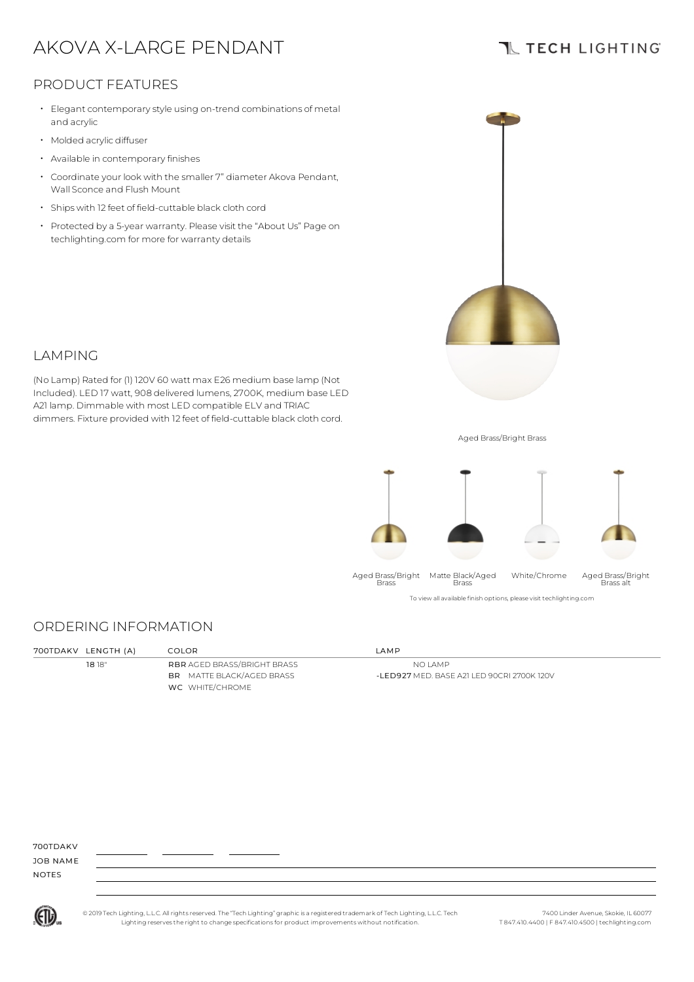# AKOVA X-LARGE PENDANT

### **TL TECH LIGHTING**

### PRODUCT FEATURES

- $\cdot$  Elegant contemporary style using on-trend combinations of metal and acrylic
- Molded acrylic diffuser
- Available in contemporary finishes
- Coordinate your look with the smaller 7" diameter Akova Pendant, Wall Sconce and Flush Mount •
- Ships with <sup>12</sup> feet of field-cuttable black cloth cord
- Protected by a 5-year warranty. Please visit the "About Us" Page on techlighting.com for more for warranty details



### LAMPING

(No Lamp) Rated for (1) 120V 60 watt max E26 medium base lamp (Not Included). LED 17 watt, 908 delivered lumens, 2700K, medium base LED A21 lamp. Dimmable with most LED compatible ELV and TRIAC dimmers. Fixture provided with 12 feet of field-cuttable black cloth cord.

Aged Brass/Bright Brass



#### To view all available finish options, please visit techlighting.com

### ORDERING INFORMATION

| 700TDAKV LENGTH (A) | COLOR                              | AMP                                        |
|---------------------|------------------------------------|--------------------------------------------|
| 1818"               | <b>RBR AGED BRASS/BRIGHT BRASS</b> | NO LAMP                                    |
|                     | <b>BR</b> MATTE BLACK/AGED BRASS   | -LED927 MED, BASE A21 LED 90CRI 2700K 120V |
|                     | WC WHITE/CHROME                    |                                            |
|                     |                                    |                                            |

700TDAKV

JOB NAME NOTES



© 2019 Tech Lighting, L.L.C. All rightsreserved. The "Tech Lighting" graphicis a registered trademark of Tech Lighting, L.L.C. Tech Lighting reservesthe right to change specificationsfor product improvements without notification.

7400 Linder Avenue, Skokie, IL 60077 T 847.410.4400 | F 847.410.4500 | techlighting.com